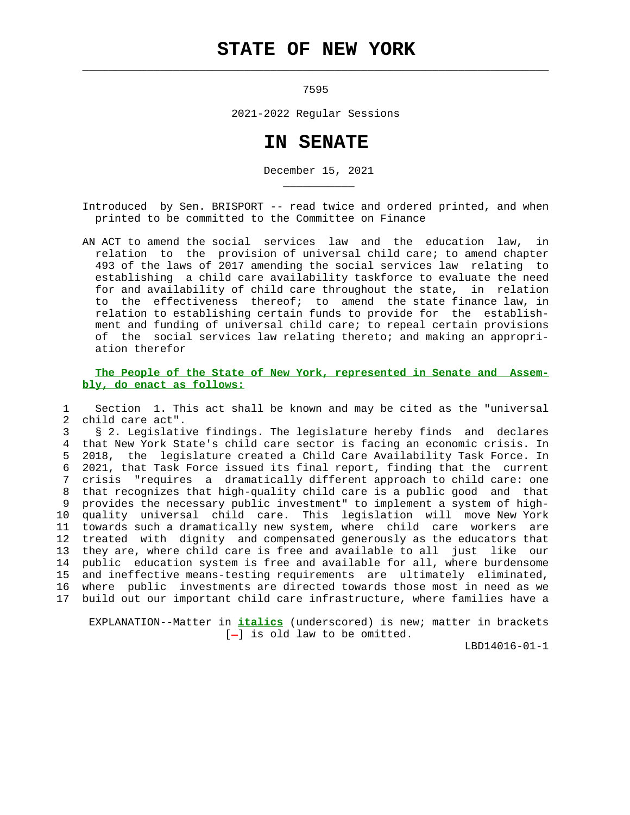## **STATE OF NEW YORK**

 $\mathcal{L}_\text{max} = \frac{1}{2} \sum_{i=1}^{n} \frac{1}{2} \sum_{i=1}^{n} \frac{1}{2} \sum_{i=1}^{n} \frac{1}{2} \sum_{i=1}^{n} \frac{1}{2} \sum_{i=1}^{n} \frac{1}{2} \sum_{i=1}^{n} \frac{1}{2} \sum_{i=1}^{n} \frac{1}{2} \sum_{i=1}^{n} \frac{1}{2} \sum_{i=1}^{n} \frac{1}{2} \sum_{i=1}^{n} \frac{1}{2} \sum_{i=1}^{n} \frac{1}{2} \sum_{i=1}^{n} \frac{1$ 

\_\_\_\_\_\_\_\_\_\_\_

7595

2021-2022 Regular Sessions

## **IN SENATE**

December 15, 2021

 Introduced by Sen. BRISPORT -- read twice and ordered printed, and when printed to be committed to the Committee on Finance

 AN ACT to amend the social services law and the education law, in relation to the provision of universal child care; to amend chapter 493 of the laws of 2017 amending the social services law relating to establishing a child care availability taskforce to evaluate the need for and availability of child care throughout the state, in relation to the effectiveness thereof; to amend the state finance law, in relation to establishing certain funds to provide for the establish ment and funding of universal child care; to repeal certain provisions of the social services law relating thereto; and making an appropri ation therefor

 **The People of the State of New York, represented in Senate and Assem bly, do enact as follows:**

 1 Section 1. This act shall be known and may be cited as the "universal 2 child care act".

 3 § 2. Legislative findings. The legislature hereby finds and declares 4 that New York State's child care sector is facing an economic crisis. In 5 2018, the legislature created a Child Care Availability Task Force. In 6 2021, that Task Force issued its final report, finding that the current 7 crisis "requires a dramatically different approach to child care: one 8 that recognizes that high-quality child care is a public good and that 9 provides the necessary public investment" to implement a system of high- 10 quality universal child care. This legislation will move New York 11 towards such a dramatically new system, where child care workers are 12 treated with dignity and compensated generously as the educators that 13 they are, where child care is free and available to all just like our 14 public education system is free and available for all, where burdensome 15 and ineffective means-testing requirements are ultimately eliminated, 16 where public investments are directed towards those most in need as we 17 build out our important child care infrastructure, where families have a

 EXPLANATION--Matter in **italics** (underscored) is new; matter in brackets  $[-]$  is old law to be omitted.

LBD14016-01-1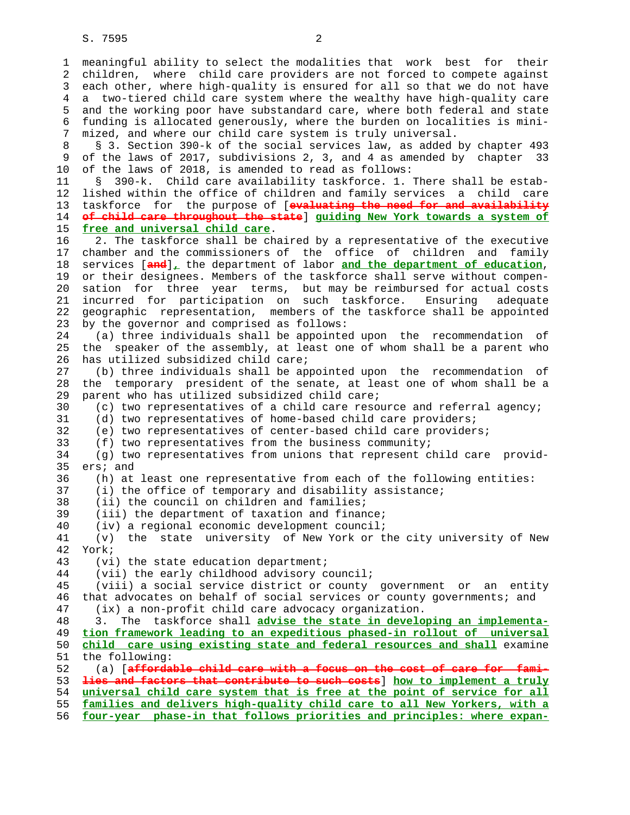1 meaningful ability to select the modalities that work best for their 2 children, where child care providers are not forced to compete against 3 each other, where high-quality is ensured for all so that we do not have 4 a two-tiered child care system where the wealthy have high-quality care 5 and the working poor have substandard care, where both federal and state 6 funding is allocated generously, where the burden on localities is mini- 7 mized, and where our child care system is truly universal. 8 § 3. Section 390-k of the social services law, as added by chapter 493 9 of the laws of 2017, subdivisions 2, 3, and 4 as amended by chapter 33 10 of the laws of 2018, is amended to read as follows: 11 § 390-k. Child care availability taskforce. 1. There shall be estab- 12 lished within the office of children and family services a child care 13 taskforce for the purpose of [**evaluating the need for and availability** 14 **of child care throughout the state**] **guiding New York towards a system of** 15 **free and universal child care**. 16 2. The taskforce shall be chaired by a representative of the executive 17 chamber and the commissioners of the office of children and family 18 services [**and**]**,** the department of labor **and the department of education**, 19 or their designees. Members of the taskforce shall serve without compen- 20 sation for three year terms, but may be reimbursed for actual costs 21 incurred for participation on such taskforce. Ensuring adequate 22 geographic representation, members of the taskforce shall be appointed 23 by the governor and comprised as follows: 24 (a) three individuals shall be appointed upon the recommendation of 25 the speaker of the assembly, at least one of whom shall be a parent who 26 has utilized subsidized child care; 27 (b) three individuals shall be appointed upon the recommendation of 28 the temporary president of the senate, at least one of whom shall be a 29 parent who has utilized subsidized child care; 30 (c) two representatives of a child care resource and referral agency; 31 (d) two representatives of home-based child care providers; 32 (e) two representatives of center-based child care providers; 33 (f) two representatives from the business community; 34 (g) two representatives from unions that represent child care provid- 35 ers; and 36 (h) at least one representative from each of the following entities: 37 (i) the office of temporary and disability assistance; 38 (ii) the council on children and families; 39 (iii) the department of taxation and finance; 40 (iv) a regional economic development council; 41 (v) the state university of New York or the city university of New 42 York; 43 (vi) the state education department; 44 (vii) the early childhood advisory council; 45 (viii) a social service district or county government or an entity 46 that advocates on behalf of social services or county governments; and 47 (ix) a non-profit child care advocacy organization. 48 3. The taskforce shall **advise the state in developing an implementa-** 49 **tion framework leading to an expeditious phased-in rollout of universal** 50 **child care using existing state and federal resources and shall** examine 51 the following: 52 (a) [**affordable child care with a focus on the cost of care for fami-** 53 **lies and factors that contribute to such costs**] **how to implement a truly** 54 **universal child care system that is free at the point of service for all** 55 **families and delivers high-quality child care to all New Yorkers, with a**

56 **four-year phase-in that follows priorities and principles: where expan-**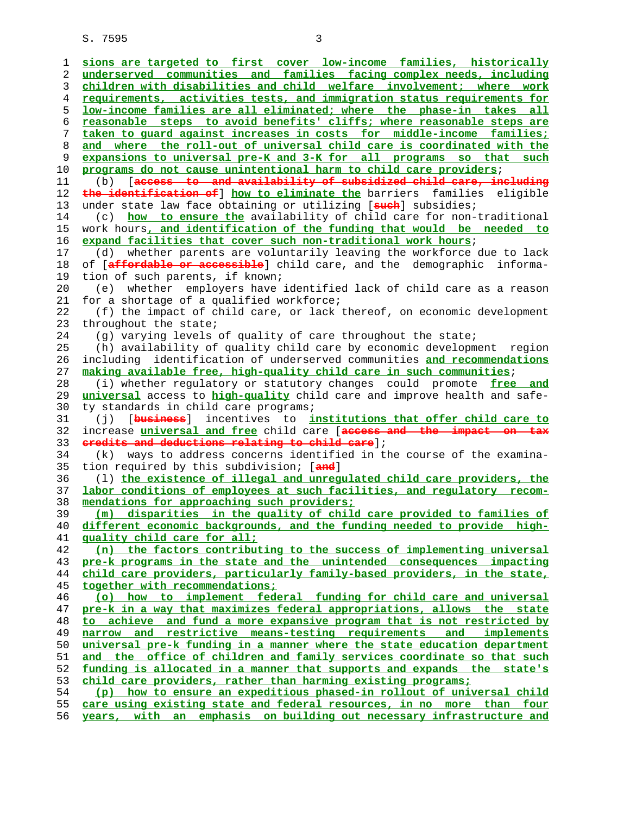**sions are targeted to first cover low-income families, historically underserved communities and families facing complex needs, including children with disabilities and child welfare involvement; where work requirements, activities tests, and immigration status requirements for low-income families are all eliminated; where the phase-in takes all reasonable steps to avoid benefits' cliffs; where reasonable steps are taken to guard against increases in costs for middle-income families; and where the roll-out of universal child care is coordinated with the expansions to universal pre-K and 3-K for all programs so that such programs do not cause unintentional harm to child care providers**; 11 (b) [**access to and availability of subsidized child care, including the identification of**] **how to eliminate the** barriers families eligible 13 under state law face obtaining or utilizing [**such**] subsidies; 14 (c) **how to ensure the** availability of child care for non-traditional 15 work hours**, and identification of the funding that would be needed to expand facilities that cover such non-traditional work hours**; 17 (d) whether parents are voluntarily leaving the workforce due to lack 18 of [**affordable or accessible**] child care, and the demographic informa- 19 tion of such parents, if known; 20 (e) whether employers have identified lack of child care as a reason 21 for a shortage of a qualified workforce; 22 (f) the impact of child care, or lack thereof, on economic development 23 throughout the state; 24 (g) varying levels of quality of care throughout the state; 25 (h) availability of quality child care by economic development region 26 including identification of underserved communities **and recommendations making available free, high-quality child care in such communities**; 28 (i) whether regulatory or statutory changes could promote **free and universal** access to **high-quality** child care and improve health and safe- 30 ty standards in child care programs; 31 (j) [**business**] incentives to **institutions that offer child care to** 32 increase **universal and free** child care [**access and the impact on tax credits and deductions relating to child care**]; 34 (k) ways to address concerns identified in the course of the examina- 35 tion required by this subdivision; [**and**] 36 (l) **the existence of illegal and unregulated child care providers, the labor conditions of employees at such facilities, and regulatory recom- mendations for approaching such providers; (m) disparities in the quality of child care provided to families of different economic backgrounds, and the funding needed to provide high- quality child care for all; (n) the factors contributing to the success of implementing universal pre-k programs in the state and the unintended consequences impacting child care providers, particularly family-based providers, in the state, together with recommendations; (o) how to implement federal funding for child care and universal pre-k in a way that maximizes federal appropriations, allows the state to achieve and fund a more expansive program that is not restricted by narrow and restrictive means-testing requirements and implements universal pre-k funding in a manner where the state education department and the office of children and family services coordinate so that such funding is allocated in a manner that supports and expands the state's child care providers, rather than harming existing programs; (p) how to ensure an expeditious phased-in rollout of universal child care using existing state and federal resources, in no more than four years, with an emphasis on building out necessary infrastructure and**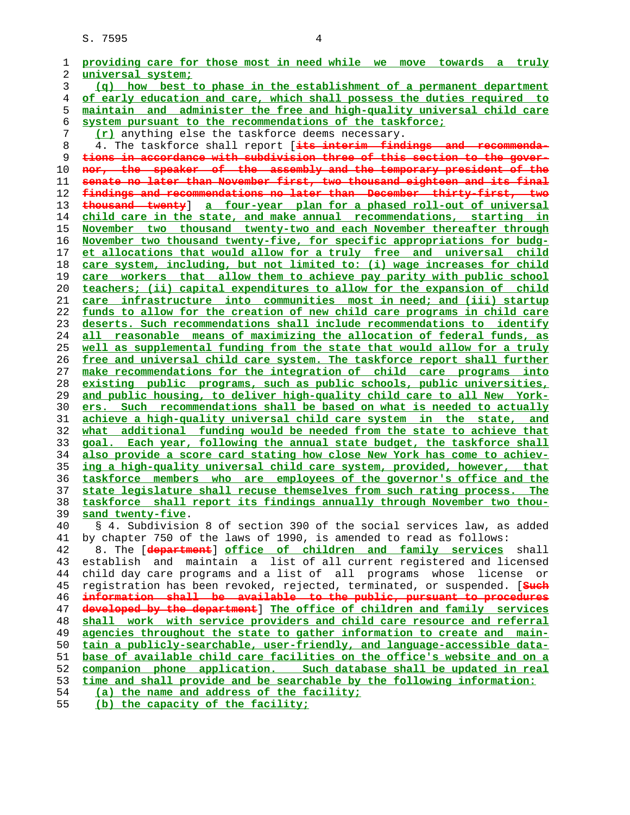| 1  | providing care for those most in need while we move towards a truly             |
|----|---------------------------------------------------------------------------------|
| 2  | universal system;                                                               |
| 3  | $(q)$ how best to phase in the establishment of a permanent department          |
| 4  | of early education and care, which shall possess the duties required to         |
| 5  | maintain and administer the free and high-quality universal child care          |
| 6  | system pursuant to the recommendations of the taskforce;                        |
| 7  | (r) anything else the taskforce deems necessary.                                |
| 8  | 4. The taskforce shall report [its interim findings and recommenda-             |
| 9  | tions in accordance with subdivision three of this section to the gover-        |
| 10 | nor, the speaker of the assembly and the temporary president of the             |
| 11 | senate no later than November first, two thousand eighteen and its final        |
| 12 | findings and recommendations no later than December thirty-first, two           |
| 13 | thousand twenty] a four-year plan for a phased roll-out of universal            |
| 14 | child care in the state, and make annual recommendations, starting in           |
| 15 | November two thousand twenty-two and each November thereafter through           |
| 16 | November two thousand twenty-five, for specific appropriations for budg-        |
| 17 | et allocations that would allow for a truly free and universal child            |
| 18 | care system, including, but not limited to: (i) wage increases for child        |
| 19 | care workers that allow them to achieve pay parity with public school           |
| 20 | teachers; (ii) capital expenditures to allow for the expansion of child         |
| 21 | infrastructure into communities most in need; and (iii) startup<br>care         |
| 22 | funds to allow for the creation of new child care programs in child care        |
| 23 | deserts. Such recommendations shall include recommendations to identify         |
| 24 | all reasonable means of maximizing the allocation of federal funds, as          |
| 25 | well as supplemental funding from the state that would allow for a truly        |
| 26 | free and universal child care system. The taskforce report shall further        |
| 27 | make recommendations for the integration of child care programs into            |
| 28 | existing public programs, such as public schools, public universities,          |
| 29 | and public housing, to deliver high-quality child care to all New York-         |
| 30 | ers. Such recommendations shall be based on what is needed to actually          |
| 31 | achieve a high-quality universal child care system in the state, and            |
| 32 | what additional funding would be needed from the state to achieve that          |
| 33 | goal. Each year, following the annual state budget, the taskforce shall         |
| 34 | also provide a score card stating how close New York has come to achiev-        |
| 35 | ing a high-quality universal child care system, provided, however, that         |
| 36 | taskforce members who are employees of the governor's office and the            |
| 37 | state legislature shall recuse themselves from such rating process. The         |
| 38 | taskforce shall report its findings annually through November two thou-         |
| 39 | sand twenty-five.                                                               |
| 40 | § 4. Subdivision 8 of section 390 of the social services law, as added          |
| 41 | by chapter 750 of the laws of 1990, is amended to read as follows:              |
| 42 | 8. The [department] office of children and family services<br>shall             |
| 43 | establish and maintain a list of all current registered and licensed            |
| 44 | child day care programs and a list of all programs whose license<br>or          |
| 45 | registration has been revoked, rejected, terminated, or suspended. [Such        |
| 46 | information shall be available to the public, pursuant to procedures            |
| 47 | developed by the department] The office of children and family services         |
| 48 | shall work with service providers and child care resource and referral          |
| 49 | agencies throughout the state to gather information to create and main-         |
| 50 | tain a publicly-searchable, user-friendly, and language-accessible data-        |
| 51 | <u>base of available child care facilities on the office's website and on a</u> |
| 52 | companion phone application. Such database shall be updated in real             |
| 53 | time and shall provide and be searchable by the following information:          |
| 54 | (a) the name and address of the facility;                                       |
| 55 | (b) the capacity of the facility;                                               |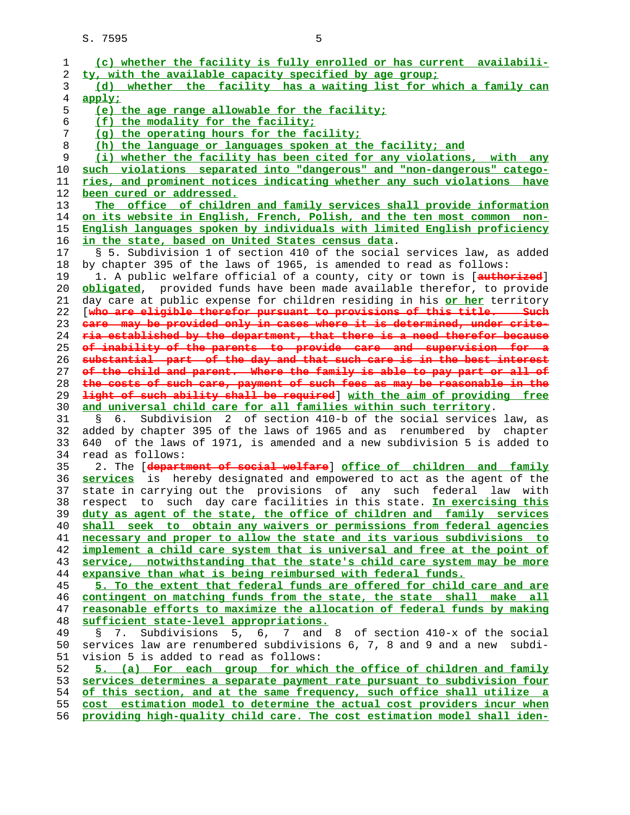|          | (c) whether the facility is fully enrolled or has current availabili-                                                                               |
|----------|-----------------------------------------------------------------------------------------------------------------------------------------------------|
| 2        | ty, with the available capacity specified by age group;                                                                                             |
| 3        | (d) whether the facility has a waiting list for which a family can                                                                                  |
| 4        | apply;                                                                                                                                              |
| 5        | (e) the age range allowable for the facility;                                                                                                       |
| 6        | (f) the modality for the facility;                                                                                                                  |
| 7        | (q) the operating hours for the facility;                                                                                                           |
| 8        | (h) the language or languages spoken at the facility; and                                                                                           |
| 9        | (i) whether the facility has been cited for any violations, with any                                                                                |
|          |                                                                                                                                                     |
| 10       | such violations separated into "dangerous" and "non-dangerous" catego-                                                                              |
| 11       | ries, and prominent notices indicating whether any such violations have                                                                             |
| 12       | been cured or addressed.                                                                                                                            |
| 13       | The office of children and family services shall provide information                                                                                |
| 14       | on its website in English, French, Polish, and the ten most common non-                                                                             |
| 15       | English languages spoken by individuals with limited English proficiency                                                                            |
| 16       | in the state, based on United States census data.                                                                                                   |
| 17       | § 5. Subdivision 1 of section 410 of the social services law, as added                                                                              |
| 18       | by chapter 395 of the laws of 1965, is amended to read as follows:                                                                                  |
| 19       | 1. A public welfare official of a county, city or town is [authorized]                                                                              |
| 20       | obligated, provided funds have been made available therefor, to provide                                                                             |
| 21       | day care at public expense for children residing in his or her territory                                                                            |
| 22       | [who are eligible therefor pursuant to provisions of this title. Such                                                                               |
| 23       | eare may be provided only in cases where it is determined, under crite-                                                                             |
| 24       | ria established by the department, that there is a need therefor because                                                                            |
| 25       | of inability of the parents to provide care and supervision for a                                                                                   |
| 26       | substantial part of the day and that such care is in the best interest                                                                              |
|          |                                                                                                                                                     |
| 27       | of the child and parent. Where the family is able to pay part or all of                                                                             |
| 28       | the costs of such care, payment of such fees as may be reasonable in the                                                                            |
| 29       | light of such ability shall be required] with the aim of providing free                                                                             |
| 30       | and universal child care for all families within such territory.                                                                                    |
| 31       | Subdivision 2 of section 410-b of the social services law, as<br>6.<br>Š.                                                                           |
| 32       | added by chapter 395 of the laws of 1965 and as renumbered by chapter                                                                               |
| 33       |                                                                                                                                                     |
|          | of the laws of 1971, is amended and a new subdivision 5 is added to<br>640                                                                          |
| 34       | read as follows:                                                                                                                                    |
| 35       | 2. The [department of social welfare] office of children and family                                                                                 |
| 36       |                                                                                                                                                     |
| 37       | state in carrying out the provisions of any such federal<br>law with                                                                                |
| 38       | respect to such day care facilities in this state. In exercising this                                                                               |
| 39       | duty as agent of the state, the office of children and family services                                                                              |
| 40       |                                                                                                                                                     |
| 41       | necessary and proper to allow the state and its various subdivisions to                                                                             |
| 42       | implement a child care system that is universal and free at the point of                                                                            |
| 43       | service, notwithstanding that the state's child care system may be more                                                                             |
| 44       | services is hereby designated and empowered to act as the agent of the<br>shall seek to obtain any waivers or permissions from federal agencies     |
|          | expansive than what is being reimbursed with federal funds.                                                                                         |
| 45       | 5. To the extent that federal funds are offered for child care and are                                                                              |
| 46       | contingent on matching funds from the state, the state shall make all                                                                               |
| 47       | reasonable efforts to maximize the allocation of federal funds by making                                                                            |
| 48       | sufficient state-level appropriations.                                                                                                              |
| 49       | 5, 6, 7 and 8 of section 410-x of the social<br>Subdivisions<br>S<br>7.                                                                             |
| 50       | services law are renumbered subdivisions 6, 7, 8 and 9 and a new<br>subdi-                                                                          |
| 51       | vision 5 is added to read as follows:                                                                                                               |
| 52       | 5. (a) For each group for which the office of children and family                                                                                   |
| 53       | services determines a separate payment rate pursuant to subdivision four                                                                            |
| 54       | of this section, and at the same frequency, such office shall utilize a                                                                             |
| 55<br>56 | cost estimation model to determine the actual cost providers incur when<br>providing high-quality child care. The cost estimation model shall iden- |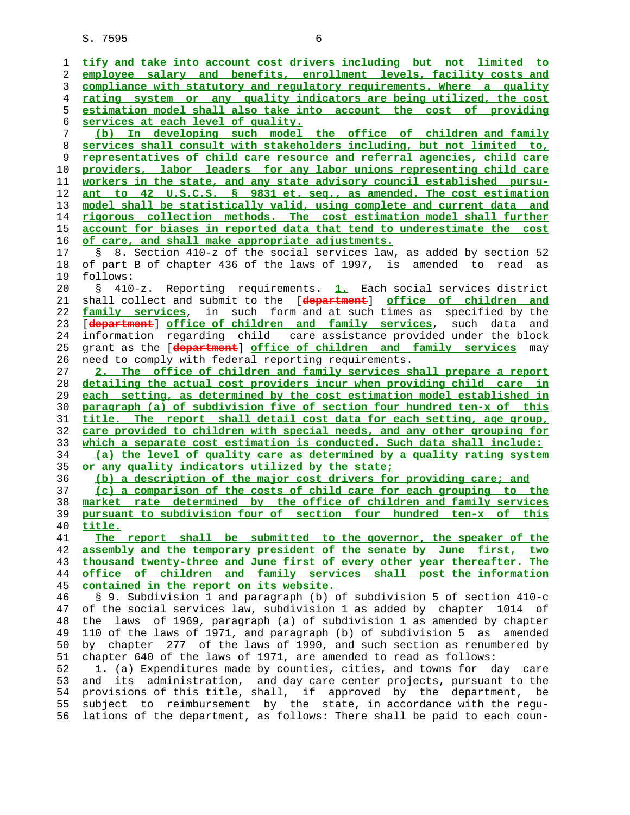**tify and take into account cost drivers including but not limited to employee salary and benefits, enrollment levels, facility costs and compliance with statutory and regulatory requirements. Where a quality rating system or any quality indicators are being utilized, the cost estimation model shall also take into account the cost of providing services at each level of quality. (b) In developing such model the office of children and family services shall consult with stakeholders including, but not limited to, representatives of child care resource and referral agencies, child care providers, labor leaders for any labor unions representing child care workers in the state, and any state advisory council established pursu- ant to 42 U.S.C.S. § 9831 et. seq., as amended. The cost estimation model shall be statistically valid, using complete and current data and rigorous collection methods. The cost estimation model shall further account for biases in reported data that tend to underestimate the cost of care, and shall make appropriate adjustments.** 17 § 8. Section 410-z of the social services law, as added by section 52 18 of part B of chapter 436 of the laws of 1997, is amended to read as 19 follows: 20 § 410-z. Reporting requirements. **1.** Each social services district 21 shall collect and submit to the [**department**] **office of children and family services**, in such form and at such times as specified by the 23 [**department**] **office of children and family services**, such data and 24 information regarding child care assistance provided under the block 25 grant as the [**department**] **office of children and family services** may 26 need to comply with federal reporting requirements. **2. The office of children and family services shall prepare a report detailing the actual cost providers incur when providing child care in each setting, as determined by the cost estimation model established in paragraph (a) of subdivision five of section four hundred ten-x of this title. The report shall detail cost data for each setting, age group, care provided to children with special needs, and any other grouping for which a separate cost estimation is conducted. Such data shall include: (a) the level of quality care as determined by a quality rating system or any quality indicators utilized by the state; (b) a description of the major cost drivers for providing care; and (c) a comparison of the costs of child care for each grouping to the market rate determined by the office of children and family services pursuant to subdivision four of section four hundred ten-x of this title. The report shall be submitted to the governor, the speaker of the assembly and the temporary president of the senate by June first, two thousand twenty-three and June first of every other year thereafter. The office of children and family services shall post the information contained in the report on its website.** 46 § 9. Subdivision 1 and paragraph (b) of subdivision 5 of section 410-c 47 of the social services law, subdivision 1 as added by chapter 1014 of 48 the laws of 1969, paragraph (a) of subdivision 1 as amended by chapter 49 110 of the laws of 1971, and paragraph (b) of subdivision 5 as amended 50 by chapter 277 of the laws of 1990, and such section as renumbered by 51 chapter 640 of the laws of 1971, are amended to read as follows: 52 1. (a) Expenditures made by counties, cities, and towns for day care 53 and its administration, and day care center projects, pursuant to the 54 provisions of this title, shall, if approved by the department, be 55 subject to reimbursement by the state, in accordance with the regu- 56 lations of the department, as follows: There shall be paid to each coun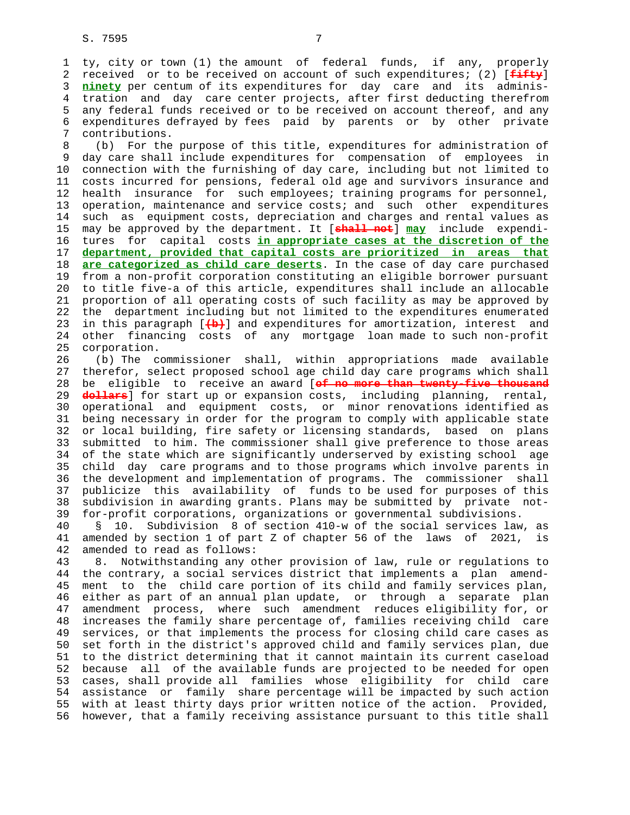1 ty, city or town (1) the amount of federal funds, if any, properly 2 received or to be received on account of such expenditures; (2) [**fifty**] 3 **ninety** per centum of its expenditures for day care and its adminis- 4 tration and day care center projects, after first deducting therefrom 5 any federal funds received or to be received on account thereof, and any 6 expenditures defrayed by fees paid by parents or by other private 7 contributions.

 8 (b) For the purpose of this title, expenditures for administration of 9 day care shall include expenditures for compensation of employees in 10 connection with the furnishing of day care, including but not limited to 11 costs incurred for pensions, federal old age and survivors insurance and 12 health insurance for such employees; training programs for personnel, 13 operation, maintenance and service costs; and such other expenditures 14 such as equipment costs, depreciation and charges and rental values as 15 may be approved by the department. It [**shall not**] **may** include expendi- 16 tures for capital costs **in appropriate cases at the discretion of the** 17 **department, provided that capital costs are prioritized in areas that** 18 **are categorized as child care deserts**. In the case of day care purchased 19 from a non-profit corporation constituting an eligible borrower pursuant 20 to title five-a of this article, expenditures shall include an allocable 21 proportion of all operating costs of such facility as may be approved by 22 the department including but not limited to the expenditures enumerated 23 in this paragraph [**(b)**] and expenditures for amortization, interest and 24 other financing costs of any mortgage loan made to such non-profit 25 corporation.

 26 (b) The commissioner shall, within appropriations made available 27 therefor, select proposed school age child day care programs which shall 28 be eligible to receive an award [**of no more than twenty-five thousand** 29 **dollars**] for start up or expansion costs, including planning, rental, 30 operational and equipment costs, or minor renovations identified as 31 being necessary in order for the program to comply with applicable state 32 or local building, fire safety or licensing standards, based on plans 33 submitted to him. The commissioner shall give preference to those areas 34 of the state which are significantly underserved by existing school age 35 child day care programs and to those programs which involve parents in 36 the development and implementation of programs. The commissioner shall 37 publicize this availability of funds to be used for purposes of this 38 subdivision in awarding grants. Plans may be submitted by private not- 39 for-profit corporations, organizations or governmental subdivisions.

 40 § 10. Subdivision 8 of section 410-w of the social services law, as 41 amended by section 1 of part Z of chapter 56 of the laws of 2021, is 42 amended to read as follows:

 43 8. Notwithstanding any other provision of law, rule or regulations to 44 the contrary, a social services district that implements a plan amend- 45 ment to the child care portion of its child and family services plan, 46 either as part of an annual plan update, or through a separate plan 47 amendment process, where such amendment reduces eligibility for, or 48 increases the family share percentage of, families receiving child care 49 services, or that implements the process for closing child care cases as 50 set forth in the district's approved child and family services plan, due 51 to the district determining that it cannot maintain its current caseload 52 because all of the available funds are projected to be needed for open 53 cases, shall provide all families whose eligibility for child care 54 assistance or family share percentage will be impacted by such action 55 with at least thirty days prior written notice of the action. Provided, 56 however, that a family receiving assistance pursuant to this title shall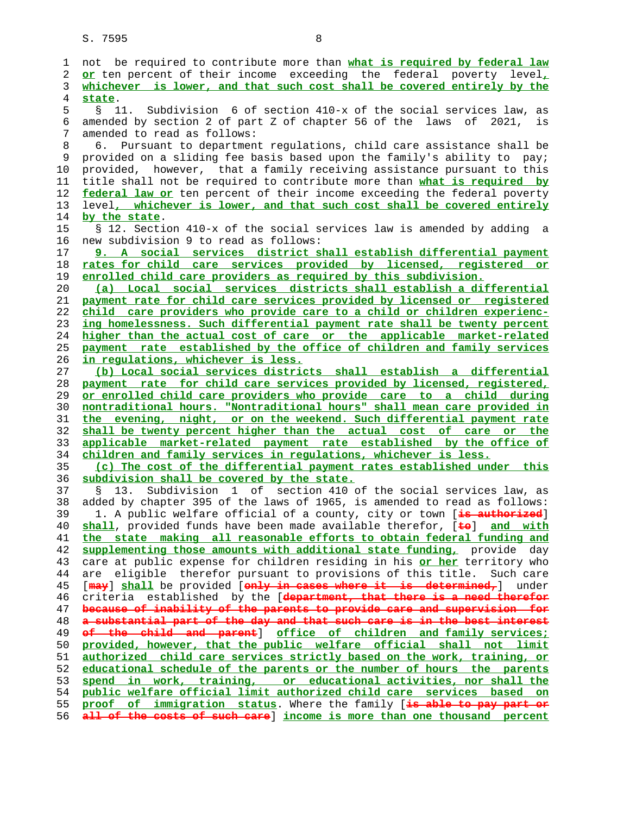1 not be required to contribute more than **what is required by federal law or** ten percent of their income exceeding the federal poverty level**, whichever is lower, and that such cost shall be covered entirely by the state**. 5 § 11. Subdivision 6 of section 410-x of the social services law, as 6 amended by section 2 of part Z of chapter 56 of the laws of 2021, is 7 amended to read as follows: 8 6. Pursuant to department regulations, child care assistance shall be 9 provided on a sliding fee basis based upon the family's ability to pay; 10 provided, however, that a family receiving assistance pursuant to this 11 title shall not be required to contribute more than **what is required by federal law or** ten percent of their income exceeding the federal poverty 13 level**, whichever is lower, and that such cost shall be covered entirely by the state**. 15 § 12. Section 410-x of the social services law is amended by adding a 16 new subdivision 9 to read as follows: **9. A social services district shall establish differential payment rates for child care services provided by licensed, registered or enrolled child care providers as required by this subdivision. (a) Local social services districts shall establish a differential payment rate for child care services provided by licensed or registered child care providers who provide care to a child or children experienc- ing homelessness. Such differential payment rate shall be twenty percent higher than the actual cost of care or the applicable market-related payment rate established by the office of children and family services in regulations, whichever is less. (b) Local social services districts shall establish a differential payment rate for child care services provided by licensed, registered, or enrolled child care providers who provide care to a child during nontraditional hours. "Nontraditional hours" shall mean care provided in the evening, night, or on the weekend. Such differential payment rate shall be twenty percent higher than the actual cost of care or the applicable market-related payment rate established by the office of children and family services in regulations, whichever is less. (c) The cost of the differential payment rates established under this subdivision shall be covered by the state.** 37 § 13. Subdivision 1 of section 410 of the social services law, as 38 added by chapter 395 of the laws of 1965, is amended to read as follows: 39 1. A public welfare official of a county, city or town [**is authorized**] **shall**, provided funds have been made available therefor, [**to**] **and with the state making all reasonable efforts to obtain federal funding and supplementing those amounts with additional state funding,** provide day 43 care at public expense for children residing in his **or her** territory who 44 are eligible therefor pursuant to provisions of this title. Such care 45 [**may**] **shall** be provided [**only in cases where it is determined,**] under 46 criteria established by the [**department, that there is a need therefor because of inability of the parents to provide care and supervision for a substantial part of the day and that such care is in the best interest of the child and parent**] **office of children and family services; provided, however, that the public welfare official shall not limit authorized child care services strictly based on the work, training, or educational schedule of the parents or the number of hours the parents spend in work, training, or educational activities, nor shall the public welfare official limit authorized child care services based on proof of immigration status**. Where the family [**is able to pay part or all of the costs of such care**] **income is more than one thousand percent**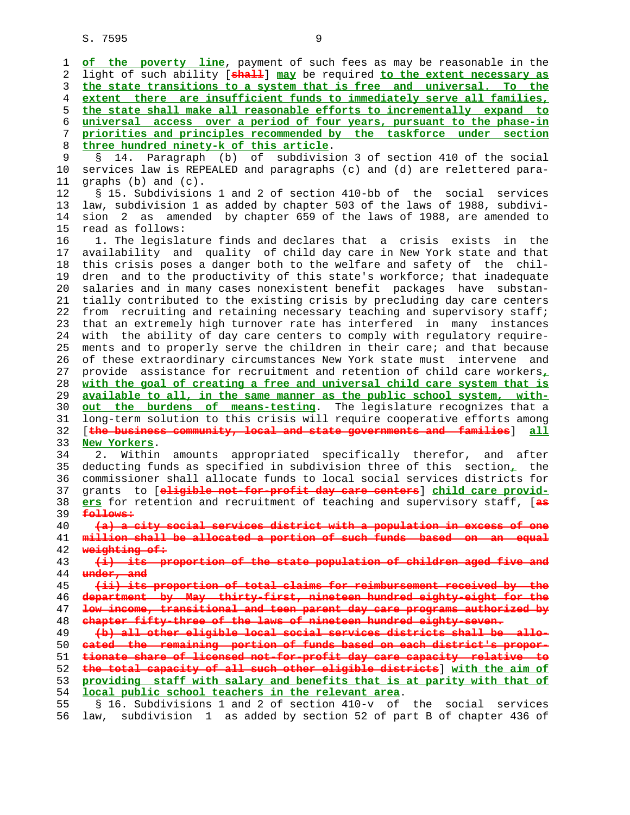1 **of the poverty line**, payment of such fees as may be reasonable in the 2 light of such ability [**shall**] **may** be required **to the extent necessary as** 3 **the state transitions to a system that is free and universal. To the** 4 **extent there are insufficient funds to immediately serve all families,** 5 **the state shall make all reasonable efforts to incrementally expand to** 6 **universal access over a period of four years, pursuant to the phase-in** 7 **priorities and principles recommended by the taskforce under section** 8 **three hundred ninety-k of this article**. 9 § 14. Paragraph (b) of subdivision 3 of section 410 of the social<br>10 services law is REPEALED and paragraphs (c) and (d) are relettered paraservices law is REPEALED and paragraphs (c) and (d) are relettered para- 11 graphs (b) and (c). 12 § 15. Subdivisions 1 and 2 of section 410-bb of the social services 13 law, subdivision 1 as added by chapter 503 of the laws of 1988, subdivi- 14 sion 2 as amended by chapter 659 of the laws of 1988, are amended to 15 read as follows: 16 1. The legislature finds and declares that a crisis exists in the 17 availability and quality of child day care in New York state and that 18 this crisis poses a danger both to the welfare and safety of the chil- 19 dren and to the productivity of this state's workforce; that inadequate 20 salaries and in many cases nonexistent benefit packages have substan- 21 tially contributed to the existing crisis by precluding day care centers 22 from recruiting and retaining necessary teaching and supervisory staff; 23 that an extremely high turnover rate has interfered in many instances 24 with the ability of day care centers to comply with regulatory require- 25 ments and to properly serve the children in their care; and that because 26 of these extraordinary circumstances New York state must intervene and 27 provide assistance for recruitment and retention of child care workers**,** 28 **with the goal of creating a free and universal child care system that is** 29 **available to all, in the same manner as the public school system, with-** 30 **out the burdens of means-testing**. The legislature recognizes that a 31 long-term solution to this crisis will require cooperative efforts among 32 [**the business community, local and state governments and families**] **all** 33 **New Yorkers**. 34 2. Within amounts appropriated specifically therefor, and after 35 deducting funds as specified in subdivision three of this section**,** the 36 commissioner shall allocate funds to local social services districts for 37 grants to [**eligible not-for-profit day care centers**] **child care provid-** 38 **ers** for retention and recruitment of teaching and supervisory staff, [**as** 39 **follows:** 40 **(a) a city social services district with a population in excess of one** 41 **million shall be allocated a portion of such funds based on an equal** 42 **weighting of:** 43 **(i) its proportion of the state population of children aged five and** 44 **under, and**

**(ii) its proportion of total claims for reimbursement received by the department by May thirty-first, nineteen hundred eighty-eight for the low income, transitional and teen parent day care programs authorized by chapter fifty-three of the laws of nineteen hundred eighty-seven. (b) all other eligible local social services districts shall be allo-**

**cated the remaining portion of funds based on each district's propor- tionate share of licensed not-for-profit day care capacity relative to the total capacity of all such other eligible districts**] **with the aim of providing staff with salary and benefits that is at parity with that of local public school teachers in the relevant area**. 55 § 16. Subdivisions 1 and 2 of section 410-v of the social services

56 law, subdivision 1 as added by section 52 of part B of chapter 436 of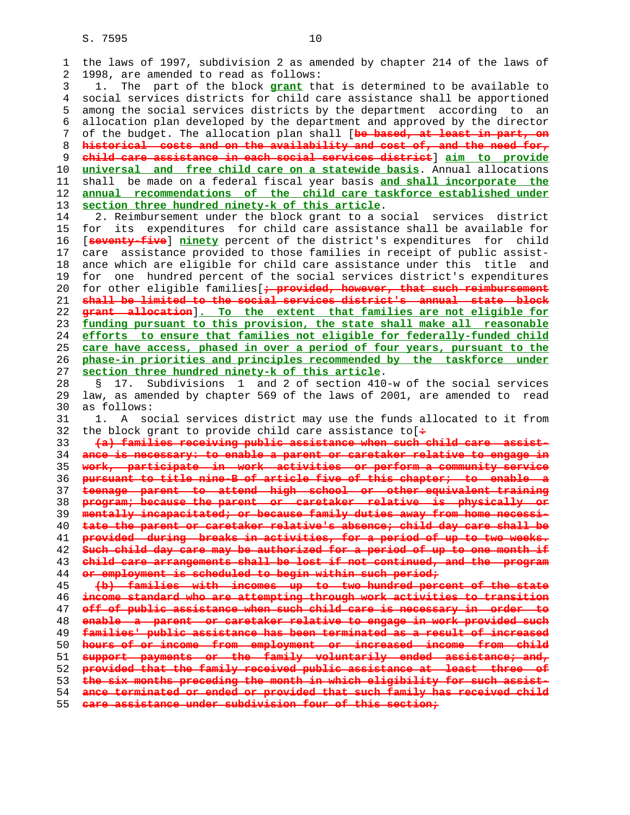1 the laws of 1997, subdivision 2 as amended by chapter 214 of the laws of 2 1998, are amended to read as follows: 3 1. The part of the block **grant** that is determined to be available to 4 social services districts for child care assistance shall be apportioned 5 among the social services districts by the department according to an 6 allocation plan developed by the department and approved by the director

 7 of the budget. The allocation plan shall [**be based, at least in part, on historical costs and on the availability and cost of, and the need for, child care assistance in each social services district**] **aim to provide universal and free child care on a statewide basis**. Annual allocations 11 shall be made on a federal fiscal year basis **and shall incorporate the annual recommendations of the child care taskforce established under section three hundred ninety-k of this article**.

 14 2. Reimbursement under the block grant to a social services district 15 for its expenditures for child care assistance shall be available for 16 [**seventy-five**] **ninety** percent of the district's expenditures for child 17 care assistance provided to those families in receipt of public assist- 18 ance which are eligible for child care assistance under this title and 19 for one hundred percent of the social services district's expenditures 20 for other eligible families[**; provided, however, that such reimbursement shall be limited to the social services district's annual state block grant allocation**]**. To the extent that families are not eligible for funding pursuant to this provision, the state shall make all reasonable efforts to ensure that families not eligible for federally-funded child care have access, phased in over a period of four years, pursuant to the phase-in priorities and principles recommended by the taskforce under section three hundred ninety-k of this article**.

 28 § 17. Subdivisions 1 and 2 of section 410-w of the social services 29 law, as amended by chapter 569 of the laws of 2001, are amended to read 30 as follows:

 31 1. A social services district may use the funds allocated to it from 32 the block grant to provide child care assistance to[**:**

**(a) families receiving public assistance when such child care assist- ance is necessary: to enable a parent or caretaker relative to engage in work, participate in work activities or perform a community service pursuant to title nine-B of article five of this chapter; to enable a teenage parent to attend high school or other equivalent training program; because the parent or caretaker relative is physically or mentally incapacitated; or because family duties away from home necessi- tate the parent or caretaker relative's absence; child day care shall be provided during breaks in activities, for a period of up to two weeks. Such child day care may be authorized for a period of up to one month if child care arrangements shall be lost if not continued, and the program or employment is scheduled to begin within such period; (b) families with incomes up to two hundred percent of the state**

**income standard who are attempting through work activities to transition off of public assistance when such child care is necessary in order to enable a parent or caretaker relative to engage in work provided such families' public assistance has been terminated as a result of increased hours of or income from employment or increased income from child support payments or the family voluntarily ended assistance; and, provided that the family received public assistance at least three of the six months preceding the month in which eligibility for such assist- ance terminated or ended or provided that such family has received child care assistance under subdivision four of this section;**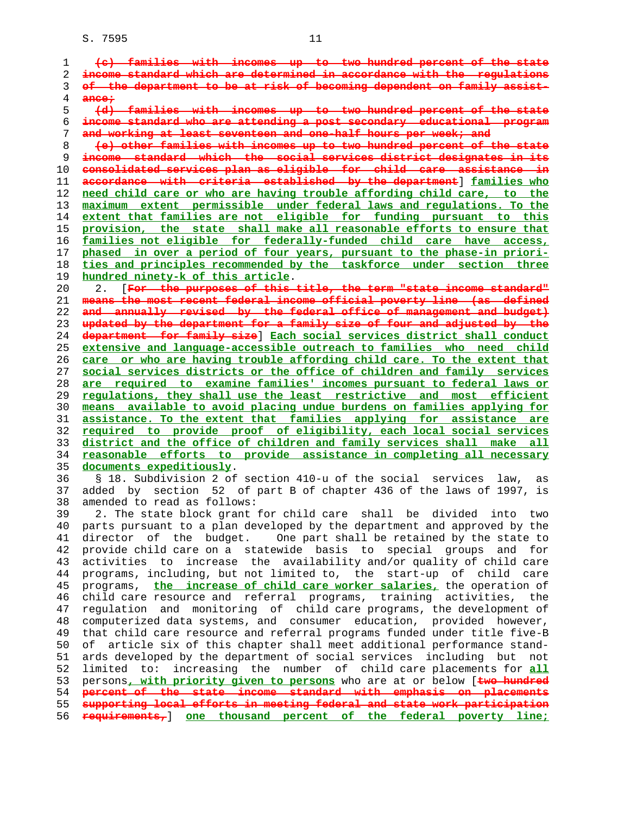**(c) families with incomes up to two hundred percent of the state income standard which are determined in accordance with the regulations of the department to be at risk of becoming dependent on family assist- ance;**<br>5 <del>(d)</del> **(d) families with incomes up to two hundred percent of the state income standard who are attending a post secondary educational program and working at least seventeen and one-half hours per week; and (e) other families with incomes up to two hundred percent of the state income standard which the social services district designates in consolidated services plan as eligible for child care assistance in accordance with criteria established by the department**] **families who need child care or who are having trouble affording child care, to the maximum extent permissible under federal laws and regulations. To the extent that families are not eligible for funding pursuant to this provision, the state shall make all reasonable efforts to ensure that families not eligible for federally-funded child care have access, phased in over a period of four years, pursuant to the phase-in priori- ties and principles recommended by the taskforce under section three hundred ninety-k of this article**. 20 2. [**For the purposes of this title, the term "state income standard" means the most recent federal income official poverty line (as defined and annually revised by the federal office of management and budget) updated by the department for a family size of four and adjusted by the department for family size**] **Each social services district shall conduct extensive and language-accessible outreach to families who need child care or who are having trouble affording child care. To the extent that social services districts or the office of children and family services are required to examine families' incomes pursuant to federal laws or regulations, they shall use the least restrictive and most efficient means available to avoid placing undue burdens on families applying for assistance. To the extent that families applying for assistance are required to provide proof of eligibility, each local social services district and the office of children and family services shall make all reasonable efforts to provide assistance in completing all necessary documents expeditiously**. 36 § 18. Subdivision 2 of section 410-u of the social services law, as 37 added by section 52 of part B of chapter 436 of the laws of 1997, is 38 amended to read as follows: 39 2. The state block grant for child care shall be divided into two 40 parts pursuant to a plan developed by the department and approved by the 41 director of the budget. One part shall be retained by the state to 42 provide child care on a statewide basis to special groups and for 43 activities to increase the availability and/or quality of child care 44 programs, including, but not limited to, the start-up of child care 45 programs, **the increase of child care worker salaries,** the operation of 46 child care resource and referral programs, training activities, the 47 regulation and monitoring of child care programs, the development of 48 computerized data systems, and consumer education, provided however, 49 that child care resource and referral programs funded under title five-B 50 of article six of this chapter shall meet additional performance stand- 51 ards developed by the department of social services including but not 52 limited to: increasing the number of child care placements for **all** 53 persons**, with priority given to persons** who are at or below [**two hundred percent of the state income standard with emphasis on placements supporting local efforts in meeting federal and state work participation requirements,**] **one thousand percent of the federal poverty line;**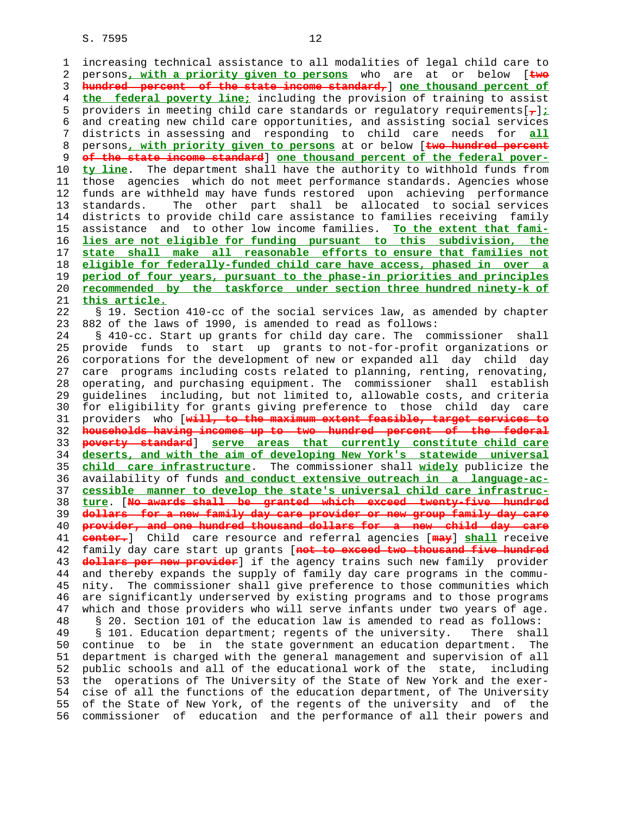1 increasing technical assistance to all modalities of legal child care to 2 persons**, with a priority given to persons** who are at or below [**two** 3 **hundred percent of the state income standard,**] **one thousand percent of** 4 **the federal poverty line;** including the provision of training to assist 5 providers in meeting child care standards or regulatory requirements[**,**]**;** 6 and creating new child care opportunities, and assisting social services 7 districts in assessing and responding to child care needs for **all** 8 persons**, with priority given to persons** at or below [**two hundred percent** 9 **of the state income standard**] **one thousand percent of the federal pover-** 10 **ty line**. The department shall have the authority to withhold funds from 11 those agencies which do not meet performance standards. Agencies whose 12 funds are withheld may have funds restored upon achieving performance 13 standards. The other part shall be allocated to social services 14 districts to provide child care assistance to families receiving family 15 assistance and to other low income families. **To the extent that fami-** 16 **lies are not eligible for funding pursuant to this subdivision, the** 17 **state shall make all reasonable efforts to ensure that families not** 18 **eligible for federally-funded child care have access, phased in over a** 19 **period of four years, pursuant to the phase-in priorities and principles** 20 **recommended by the taskforce under section three hundred ninety-k of** 21 **this article.** 22 § 19. Section 410-cc of the social services law, as amended by chapter 23 882 of the laws of 1990, is amended to read as follows: 24 § 410-cc. Start up grants for child day care. The commissioner shall 25 provide funds to start up grants to not-for-profit organizations or 26 corporations for the development of new or expanded all day child day 27 care programs including costs related to planning, renting, renovating, 28 operating, and purchasing equipment. The commissioner shall establish 29 guidelines including, but not limited to, allowable costs, and criteria 30 for eligibility for grants giving preference to those child day care 31 providers who [**will, to the maximum extent feasible, target services to** 32 **households having incomes up to two hundred percent of the federal** 33 **poverty standard**] **serve areas that currently constitute child care** 34 **deserts, and with the aim of developing New York's statewide universal** 35 **child care infrastructure**. The commissioner shall **widely** publicize the 36 availability of funds **and conduct extensive outreach in a language-ac-** 37 **cessible manner to develop the state's universal child care infrastruc-** 38 **ture**. [**No awards shall be granted which exceed twenty-five hundred** 39 **dollars for a new family day care provider or new group family day care** 40 **provider, and one hundred thousand dollars for a new child day care** 41 **center.**] Child care resource and referral agencies [**may**] **shall** receive 42 family day care start up grants [**not to exceed two thousand five hundred** 43 **dollars per new provider**] if the agency trains such new family provider 44 and thereby expands the supply of family day care programs in the commu- 45 nity. The commissioner shall give preference to those communities which 46 are significantly underserved by existing programs and to those programs 47 which and those providers who will serve infants under two years of age. 48 § 20. Section 101 of the education law is amended to read as follows: 49 § 101. Education department; regents of the university. There shall 50 continue to be in the state government an education department. The 51 department is charged with the general management and supervision of all 52 public schools and all of the educational work of the state, including 53 the operations of The University of the State of New York and the exer- 54 cise of all the functions of the education department, of The University 55 of the State of New York, of the regents of the university and of the 56 commissioner of education and the performance of all their powers and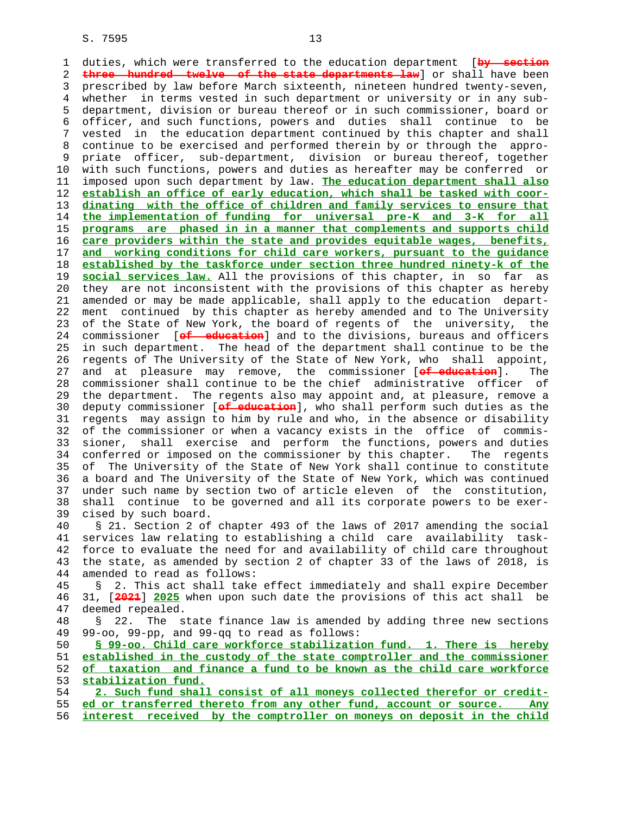1 duties, which were transferred to the education department [**by section** 2 **three hundred twelve of the state departments law**] or shall have been 3 prescribed by law before March sixteenth, nineteen hundred twenty-seven, 4 whether in terms vested in such department or university or in any sub- 5 department, division or bureau thereof or in such commissioner, board or 6 officer, and such functions, powers and duties shall continue to be 7 vested in the education department continued by this chapter and shall 8 continue to be exercised and performed therein by or through the appro- 9 priate officer, sub-department, division or bureau thereof, together 10 with such functions, powers and duties as hereafter may be conferred or 11 imposed upon such department by law. **The education department shall also** 12 **establish an office of early education, which shall be tasked with coor-** 13 **dinating with the office of children and family services to ensure that** 14 **the implementation of funding for universal pre-K and 3-K for all** 15 **programs are phased in in a manner that complements and supports child** 16 **care providers within the state and provides equitable wages, benefits,** 17 **and working conditions for child care workers, pursuant to the guidance** 18 **established by the taskforce under section three hundred ninety-k of the** 19 **social services law.** All the provisions of this chapter, in so far as 20 they are not inconsistent with the provisions of this chapter as hereby 21 amended or may be made applicable, shall apply to the education depart- 22 ment continued by this chapter as hereby amended and to The University 23 of the State of New York, the board of regents of the university, the 24 commissioner [**of education**] and to the divisions, bureaus and officers 25 in such department. The head of the department shall continue to be the 26 regents of The University of the State of New York, who shall appoint, 27 and at pleasure may remove, the commissioner [**of education**]. The 28 commissioner shall continue to be the chief administrative officer of 29 the department. The regents also may appoint and, at pleasure, remove a 30 deputy commissioner [**of education**], who shall perform such duties as the 31 regents may assign to him by rule and who, in the absence or disability 32 of the commissioner or when a vacancy exists in the office of commis- 33 sioner, shall exercise and perform the functions, powers and duties 34 conferred or imposed on the commissioner by this chapter. The regents 35 of The University of the State of New York shall continue to constitute 36 a board and The University of the State of New York, which was continued 37 under such name by section two of article eleven of the constitution, 38 shall continue to be governed and all its corporate powers to be exer- 39 cised by such board. 40 § 21. Section 2 of chapter 493 of the laws of 2017 amending the social 41 services law relating to establishing a child care availability task- 42 force to evaluate the need for and availability of child care throughout 43 the state, as amended by section 2 of chapter 33 of the laws of 2018, is 44 amended to read as follows: 45 § 2. This act shall take effect immediately and shall expire December

 46 31, [**2021**] **2025** when upon such date the provisions of this act shall be 47 deemed repealed. 48 § 22. The state finance law is amended by adding three new sections

49 99-oo, 99-pp, and 99-qq to read as follows:

**§ 99-oo. Child care workforce stabilization fund. 1. There is hereby established in the custody of the state comptroller and the commissioner of taxation and finance a fund to be known as the child care workforce stabilization fund.**

 54 **2. Such fund shall consist of all moneys collected therefor or credit-** 55 **ed or transferred thereto from any other fund, account or source. Any** 56 **interest received by the comptroller on moneys on deposit in the child**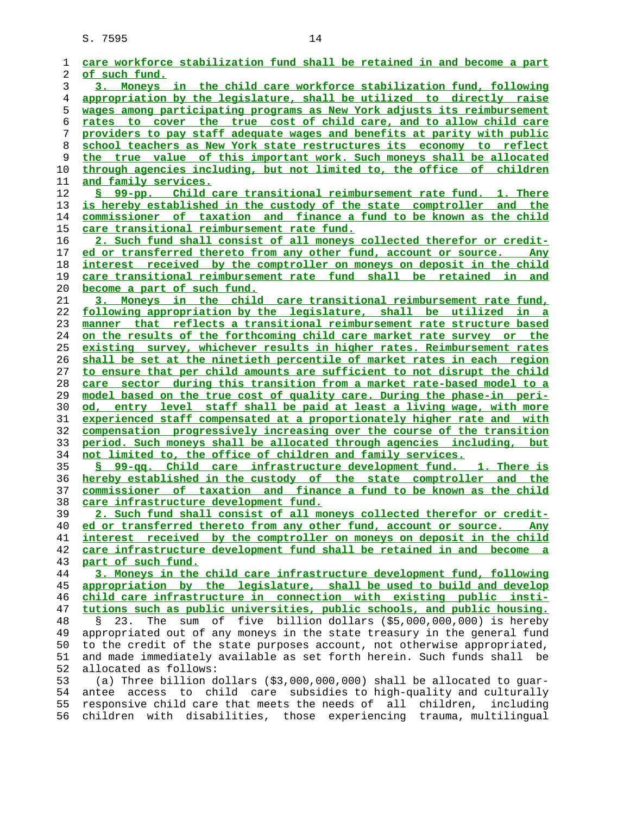| 1  | care workforce stabilization fund shall be retained in and become a part       |
|----|--------------------------------------------------------------------------------|
| 2  | of such fund.                                                                  |
| 3  | 3. Moneys in the child care workforce stabilization fund, following            |
| 4  | appropriation by the legislature, shall be utilized to directly raise          |
| 5  | wages among participating programs as New York adjusts its reimbursement       |
| 6  | rates to cover the true cost of child care, and to allow child care            |
| 7  | providers to pay staff adequate wages and benefits at parity with public       |
| 8  | school teachers as New York state restructures its economy to reflect          |
| 9  | the true value of this important work. Such moneys shall be allocated          |
| 10 | through agencies including, but not limited to, the office of children         |
| 11 | <u>and family services.</u>                                                    |
| 12 | S 99-pp. Child care transitional reimbursement rate fund. 1. There             |
| 13 | is hereby established in the custody of the state comptroller and the          |
| 14 | commissioner of taxation and finance a fund to be known as the child           |
| 15 | care transitional reimbursement rate fund.                                     |
| 16 | 2. Such fund shall consist of all moneys collected therefor or credit-         |
| 17 | ed or transferred thereto from any other fund, account or source.<br>Any       |
| 18 | interest received by the comptroller on moneys on deposit in the child         |
| 19 | care transitional reimbursement rate fund shall be retained in and             |
| 20 | become a part of such fund.                                                    |
| 21 | 3. Moneys in the child care transitional reimbursement rate fund,              |
| 22 | following appropriation by the legislature, shall be utilized in a             |
| 23 | manner that reflects a transitional reimbursement rate structure based         |
| 24 | on the results of the forthcoming child care market rate survey or the         |
| 25 | existing survey, whichever results in higher rates. Reimbursement rates        |
| 26 | shall be set at the ninetieth percentile of market rates in each region        |
| 27 | to ensure that per child amounts are sufficient to not disrupt the child       |
| 28 | care sector during this transition from a market rate-based model to a         |
| 29 | <u>model based on the true cost of quality care. During the phase-in peri-</u> |
| 30 | od, entry level staff shall be paid at least a living wage, with more          |
| 31 | experienced staff compensated at a proportionately higher rate and with        |
| 32 | compensation progressively increasing over the course of the transition        |
| 33 | period. Such moneys shall be allocated through agencies including, but         |
| 34 | not limited to, the office of children and family services.                    |
| 35 | § 99-gg. Child care infrastructure development fund. 1. There is               |
| 36 | hereby established in the custody of the state comptroller and the             |
| 37 | commissioner of taxation and finance a fund to be known as the child           |
| 38 | care infrastructure development fund.                                          |
| 39 | 2. Such fund shall consist of all moneys collected therefor or credit-         |
| 40 | ed or transferred thereto from any other fund, account or source. Any          |
| 41 | interest received by the comptroller on moneys on deposit in the child         |
| 42 | care infrastructure development fund shall be retained in and become a         |
| 43 | part of such fund.                                                             |
| 44 | 3. Moneys in the child care infrastructure development fund, following         |
| 45 | appropriation by the legislature, shall be used to build and develop           |
| 46 | child care infrastructure in connection with existing public insti-            |
| 47 | tutions such as public universities, public schools, and public housing.       |
| 48 | The sum of five billion dollars (\$5,000,000,000) is hereby<br>23.<br>Ş.       |
| 49 | appropriated out of any moneys in the state treasury in the general fund       |
| 50 | to the credit of the state purposes account, not otherwise appropriated,       |
| 51 | and made immediately available as set forth herein. Such funds shall be        |
| 52 | allocated as follows:                                                          |
| 53 | (a) Three billion dollars $( $3,000,000,000)$ shall be allocated to guar-      |
| 54 | access to child care subsidies to high-quality and culturally<br>antee         |
| 55 | responsive child care that meets the needs of all children,<br>including       |
| 56 | children with disabilities, those experiencing trauma, multilingual            |